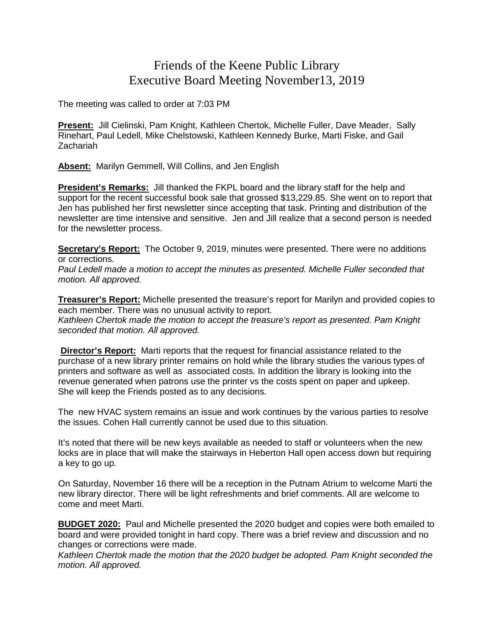## Friends of the Keene Public Library Executive Board Meeting November13, 2019

The meeting was called to order at 7:03 PM

**Present:** Jill Cielinski, Pam Knight, Kathleen Chertok, Michelle Fuller, Dave Meader, Sally Rinehart, Paul Ledell, Mike Chelstowski, Kathleen Kennedy Burke, Marti Fiske, and Gail Zachariah

**Absent:** Marilyn Gemmell, Will Collins, and Jen English

**President's Remarks:** Jill thanked the FKPL board and the library staff for the help and support for the recent successful book sale that grossed \$13,229.85. She went on to report that Jen has published her first newsletter since accepting that task. Printing and distribution of the newsletter are time intensive and sensitive. Jen and Jill realize that a second person is needed for the newsletter process.

**Secretary's Report:** The October 9, 2019, minutes were presented. There were no additions or corrections.

*Paul Ledell made a motion to accept the minutes as presented. Michelle Fuller seconded that motion. All approved.*

**Treasurer's Report:** Michelle presented the treasure's report for Marilyn and provided copies to each member. There was no unusual activity to report.

*Kathleen Chertok made the motion to accept the treasure's report as presented. Pam Knight seconded that motion. All approved.*

**Director's Report:** Marti reports that the request for financial assistance related to the purchase of a new library printer remains on hold while the library studies the various types of printers and software as well as associated costs. In addition the library is looking into the revenue generated when patrons use the printer vs the costs spent on paper and upkeep. She will keep the Friends posted as to any decisions.

The new HVAC system remains an issue and work continues by the various parties to resolve the issues. Cohen Hall currently cannot be used due to this situation.

It's noted that there will be new keys available as needed to staff or volunteers when the new locks are in place that will make the stairways in Heberton Hall open access down but requiring a key to go up.

On Saturday, November 16 there will be a reception in the Putnam Atrium to welcome Marti the new library director. There will be light refreshments and brief comments. All are welcome to come and meet Marti.

**BUDGET 2020:** Paul and Michelle presented the 2020 budget and copies were both emailed to board and were provided tonight in hard copy. There was a brief review and discussion and no changes or corrections were made.

*Kathleen Chertok made the motion that the 2020 budget be adopted. Pam Knight seconded the motion. All approved.*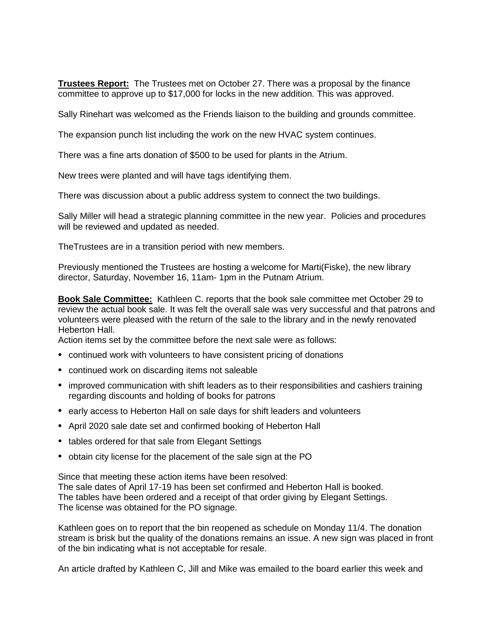**Trustees Report:** The Trustees met on October 27. There was a proposal by the finance committee to approve up to \$17,000 for locks in the new addition. This was approved.

Sally Rinehart was welcomed as the Friends liaison to the building and grounds committee.

The expansion punch list including the work on the new HVAC system continues.

There was a fine arts donation of \$500 to be used for plants in the Atrium.

New trees were planted and will have tags identifying them.

There was discussion about a public address system to connect the two buildings.

Sally Miller will head a strategic planning committee in the new year. Policies and procedures will be reviewed and updated as needed.

TheTrustees are in a transition period with new members.

Previously mentioned the Trustees are hosting a welcome for Marti(Fiske), the new library director, Saturday, November 16, 11am- 1pm in the Putnam Atrium.

**Book Sale Committee:** Kathleen C. reports that the book sale committee met October 29 to review the actual book sale. It was felt the overall sale was very successful and that patrons and volunteers were pleased with the return of the sale to the library and in the newly renovated Heberton Hall.

Action items set by the committee before the next sale were as follows:

- continued work with volunteers to have consistent pricing of donations
- continued work on discarding items not saleable
- improved communication with shift leaders as to their responsibilities and cashiers training regarding discounts and holding of books for patrons
- early access to Heberton Hall on sale days for shift leaders and volunteers
- April 2020 sale date set and confirmed booking of Heberton Hall
- tables ordered for that sale from Elegant Settings
- obtain city license for the placement of the sale sign at the PO

Since that meeting these action items have been resolved: The sale dates of April 17-19 has been set confirmed and Heberton Hall is booked. The tables have been ordered and a receipt of that order giving by Elegant Settings. The license was obtained for the PO signage.

Kathleen goes on to report that the bin reopened as schedule on Monday 11/4. The donation stream is brisk but the quality of the donations remains an issue. A new sign was placed in front of the bin indicating what is not acceptable for resale.

An article drafted by Kathleen C, Jill and Mike was emailed to the board earlier this week and